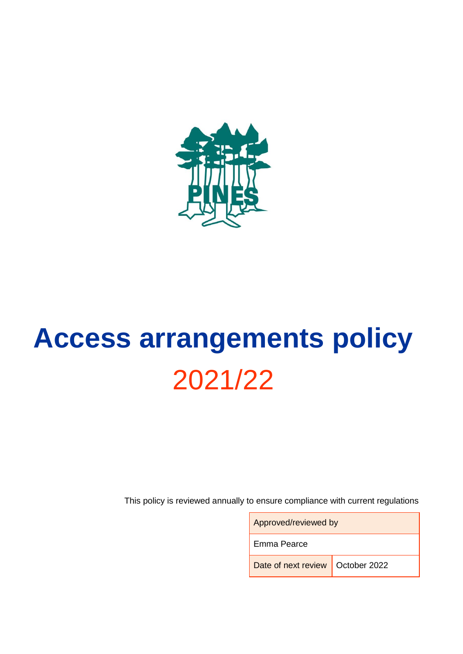

# **Access arrangements policy** 2021/22

This policy is reviewed annually to ensure compliance with current regulations

| Approved/reviewed by               |  |
|------------------------------------|--|
| Emma Pearce                        |  |
| Date of next review   October 2022 |  |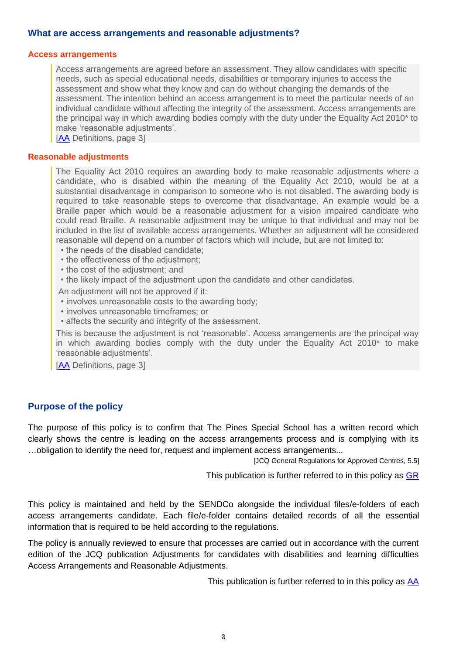#### **What are access arrangements and reasonable adjustments?**

#### **Access arrangements**

Access arrangements are agreed before an assessment. They allow candidates with specific needs, such as special educational needs, disabilities or temporary injuries to access the assessment and show what they know and can do without changing the demands of the assessment. The intention behind an access arrangement is to meet the particular needs of an individual candidate without affecting the integrity of the assessment. Access arrangements are the principal way in which awarding bodies comply with the duty under the Equality Act 2010\* to make 'reasonable adjustments'.

[\[AA](http://www.jcq.org.uk/exams-office/access-arrangements-and-special-consideration/regulations-and-guidance) Definitions, page 3]

#### **Reasonable adjustments**

The Equality Act 2010 requires an awarding body to make reasonable adjustments where a candidate, who is disabled within the meaning of the Equality Act 2010, would be at a substantial disadvantage in comparison to someone who is not disabled. The awarding body is required to take reasonable steps to overcome that disadvantage. An example would be a Braille paper which would be a reasonable adjustment for a vision impaired candidate who could read Braille. A reasonable adjustment may be unique to that individual and may not be included in the list of available access arrangements. Whether an adjustment will be considered reasonable will depend on a number of factors which will include, but are not limited to:

- the needs of the disabled candidate;
- the effectiveness of the adjustment;
- the cost of the adjustment; and
- the likely impact of the adjustment upon the candidate and other candidates.

An adjustment will not be approved if it:

- involves unreasonable costs to the awarding body;
- involves unreasonable timeframes; or
- affects the security and integrity of the assessment.

This is because the adjustment is not 'reasonable'. Access arrangements are the principal way in which awarding bodies comply with the duty under the Equality Act 2010\* to make 'reasonable adjustments'.

[\[AA](http://www.jcq.org.uk/exams-office/access-arrangements-and-special-consideration/regulations-and-guidance) Definitions, page 3]

#### **Purpose of the policy**

The purpose of this policy is to confirm that The Pines Special School has a written record which clearly shows the centre is leading on the access arrangements process and is complying with its …obligation to identify the need for, request and implement access arrangements...

[JCQ General Regulations for Approved Centres, 5.5]

This publication is further referred to in this policy as [GR](http://www.jcq.org.uk/exams-office/general-regulations)

This policy is maintained and held by the SENDCo alongside the individual files/e-folders of each access arrangements candidate. Each file/e-folder contains detailed records of all the essential information that is required to be held according to the regulations.

The policy is annually reviewed to ensure that processes are carried out in accordance with the current edition of the JCQ publication Adjustments for candidates with disabilities and learning difficulties Access Arrangements and Reasonable Adjustments.

This publication is further referred to in this policy as [AA](http://www.jcq.org.uk/exams-office/access-arrangements-and-special-consideration/regulations-and-guidance)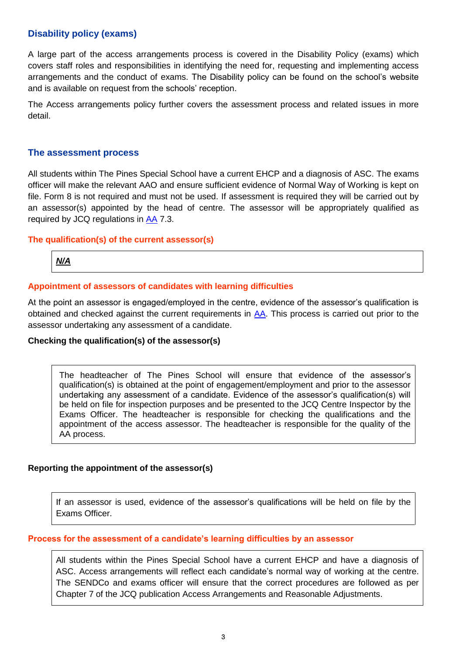# **Disability policy (exams)**

A large part of the access arrangements process is covered in the Disability Policy (exams) which covers staff roles and responsibilities in identifying the need for, requesting and implementing access arrangements and the conduct of exams. The Disability policy can be found on the school's website and is available on request from the schools' reception.

The Access arrangements policy further covers the assessment process and related issues in more detail.

#### **The assessment process**

All students within The Pines Special School have a current EHCP and a diagnosis of ASC. The exams officer will make the relevant AAO and ensure sufficient evidence of Normal Way of Working is kept on file. Form 8 is not required and must not be used. If assessment is required they will be carried out by an assessor(s) appointed by the head of centre. The assessor will be appropriately qualified as required by JCQ regulations in [AA](http://www.jcq.org.uk/exams-office/access-arrangements-and-special-consideration/regulations-and-guidance) 7.3.

#### **The qualification(s) of the current assessor(s)**

# *N/A*

#### **Appointment of assessors of candidates with learning difficulties**

At the point an assessor is engaged/employed in the centre, evidence of the assessor's qualification is obtained and checked against the current requirements in [AA.](http://www.jcq.org.uk/exams-office/access-arrangements-and-special-consideration/regulations-and-guidance) This process is carried out prior to the assessor undertaking any assessment of a candidate.

#### **Checking the qualification(s) of the assessor(s)**

The headteacher of The Pines School will ensure that evidence of the assessor's qualification(s) is obtained at the point of engagement/employment and prior to the assessor undertaking any assessment of a candidate. Evidence of the assessor's qualification(s) will be held on file for inspection purposes and be presented to the JCQ Centre Inspector by the Exams Officer. The headteacher is responsible for checking the qualifications and the appointment of the access assessor. The headteacher is responsible for the quality of the AA process.

#### **Reporting the appointment of the assessor(s)**

If an assessor is used, evidence of the assessor's qualifications will be held on file by the Exams Officer.

#### **Process for the assessment of a candidate's learning difficulties by an assessor**

All students within the Pines Special School have a current EHCP and have a diagnosis of ASC. Access arrangements will reflect each candidate's normal way of working at the centre. The SENDCo and exams officer will ensure that the correct procedures are followed as per Chapter 7 of the JCQ publication Access Arrangements and Reasonable Adjustments.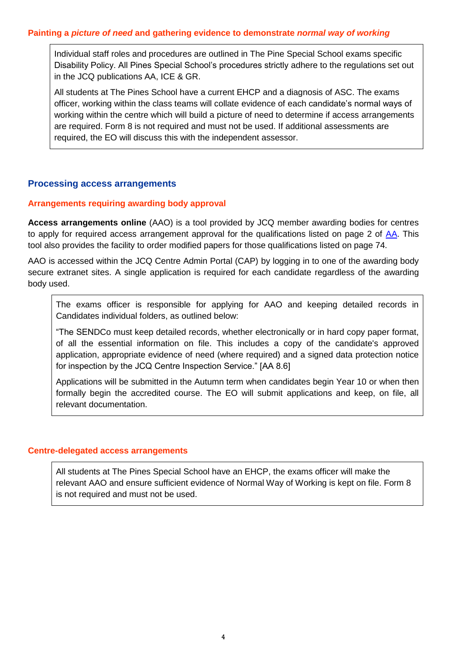Individual staff roles and procedures are outlined in The Pine Special School exams specific Disability Policy. All Pines Special School's procedures strictly adhere to the regulations set out in the JCQ publications AA, ICE & GR.

All students at The Pines School have a current EHCP and a diagnosis of ASC. The exams officer, working within the class teams will collate evidence of each candidate's normal ways of working within the centre which will build a picture of need to determine if access arrangements are required. Form 8 is not required and must not be used. If additional assessments are required, the EO will discuss this with the independent assessor.

# **Processing access arrangements**

#### **Arrangements requiring awarding body approval**

**Access arrangements online** (AAO) is a tool provided by JCQ member awarding bodies for centres to apply for required access arrangement approval for the qualifications listed on page 2 of [AA.](http://www.jcq.org.uk/exams-office/access-arrangements-and-special-consideration/regulations-and-guidance) This tool also provides the facility to order modified papers for those qualifications listed on page 74.

AAO is accessed within the JCQ Centre Admin Portal (CAP) by logging in to one of the awarding body secure extranet sites. A single application is required for each candidate regardless of the awarding body used.

The exams officer is responsible for applying for AAO and keeping detailed records in Candidates individual folders, as outlined below:

"The SENDCo must keep detailed records, whether electronically or in hard copy paper format, of all the essential information on file. This includes a copy of the candidate's approved application, appropriate evidence of need (where required) and a signed data protection notice for inspection by the JCQ Centre Inspection Service." [AA 8.6]

Applications will be submitted in the Autumn term when candidates begin Year 10 or when then formally begin the accredited course. The EO will submit applications and keep, on file, all relevant documentation.

#### **Centre-delegated access arrangements**

All students at The Pines Special School have an EHCP, the exams officer will make the relevant AAO and ensure sufficient evidence of Normal Way of Working is kept on file. Form 8 is not required and must not be used.